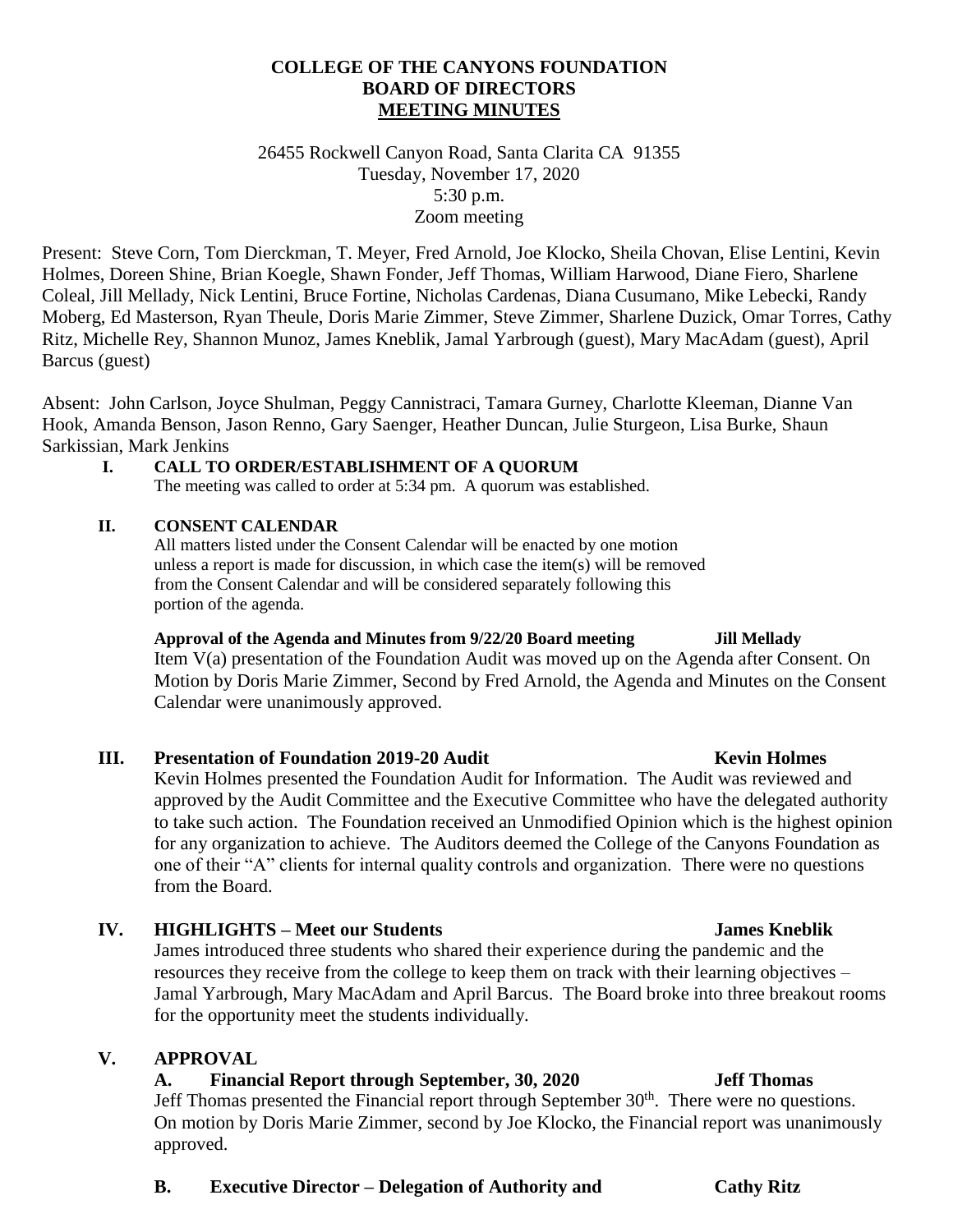## **COLLEGE OF THE CANYONS FOUNDATION BOARD OF DIRECTORS MEETING MINUTES**

26455 Rockwell Canyon Road, Santa Clarita CA 91355 Tuesday, November 17, 2020 5:30 p.m. Zoom meeting

Present: Steve Corn, Tom Dierckman, T. Meyer, Fred Arnold, Joe Klocko, Sheila Chovan, Elise Lentini, Kevin Holmes, Doreen Shine, Brian Koegle, Shawn Fonder, Jeff Thomas, William Harwood, Diane Fiero, Sharlene Coleal, Jill Mellady, Nick Lentini, Bruce Fortine, Nicholas Cardenas, Diana Cusumano, Mike Lebecki, Randy Moberg, Ed Masterson, Ryan Theule, Doris Marie Zimmer, Steve Zimmer, Sharlene Duzick, Omar Torres, Cathy Ritz, Michelle Rey, Shannon Munoz, James Kneblik, Jamal Yarbrough (guest), Mary MacAdam (guest), April Barcus (guest)

Absent: John Carlson, Joyce Shulman, Peggy Cannistraci, Tamara Gurney, Charlotte Kleeman, Dianne Van Hook, Amanda Benson, Jason Renno, Gary Saenger, Heather Duncan, Julie Sturgeon, Lisa Burke, Shaun Sarkissian, Mark Jenkins

### **I. CALL TO ORDER/ESTABLISHMENT OF A QUORUM**

The meeting was called to order at 5:34 pm. A quorum was established.

### **II. CONSENT CALENDAR**

All matters listed under the Consent Calendar will be enacted by one motion unless a report is made for discussion, in which case the item(s) will be removed from the Consent Calendar and will be considered separately following this portion of the agenda.

### **Approval of the Agenda and Minutes from 9/22/20 Board meeting Jill Mellady**

Item V(a) presentation of the Foundation Audit was moved up on the Agenda after Consent. On Motion by Doris Marie Zimmer, Second by Fred Arnold, the Agenda and Minutes on the Consent Calendar were unanimously approved.

### **III. Presentation of Foundation 2019-20 Audit Kevin Holmes Kevin Holmes**

Kevin Holmes presented the Foundation Audit for Information. The Audit was reviewed and approved by the Audit Committee and the Executive Committee who have the delegated authority to take such action. The Foundation received an Unmodified Opinion which is the highest opinion for any organization to achieve. The Auditors deemed the College of the Canyons Foundation as one of their "A" clients for internal quality controls and organization. There were no questions from the Board.

### **IV. HIGHLIGHTS – Meet our Students James Kneblik**

James introduced three students who shared their experience during the pandemic and the resources they receive from the college to keep them on track with their learning objectives – Jamal Yarbrough, Mary MacAdam and April Barcus. The Board broke into three breakout rooms for the opportunity meet the students individually.

### **V. APPROVAL**

## **A. Financial Report through September, 30, 2020 Jeff Thomas**

Jeff Thomas presented the Financial report through September 30<sup>th</sup>. There were no questions. On motion by Doris Marie Zimmer, second by Joe Klocko, the Financial report was unanimously approved.

### **B. Executive Director – Delegation of Authority and Cathy Ritz**